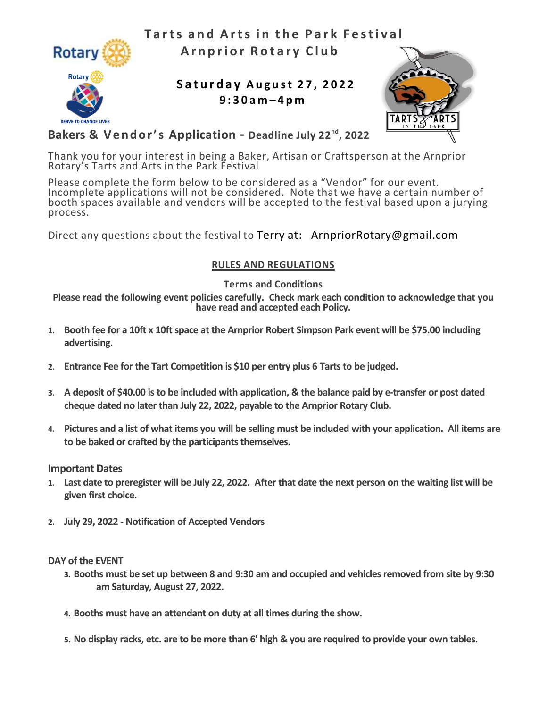

Tarts and Arts in the Park Festival Arnprior Rotary Club

# Saturday August 27, 2022 9 : 3 0 a m – 4 p m



## Bakers & Vendor's Application - Deadline July 22<sup>nd</sup>, 2022

Thank you for your interest in being a Baker, Artisan or Craftsperson at the Arnprior Rotary's Tarts and Arts in the Park Festival

Please complete the form below to be considered as a "Vendor" for our event. Incomplete applications will not be considered. Note that we have a certain number of booth spaces available and vendors will be accepted to the festival based upon a jurying process.

Direct any questions about the festival to Terry at: ArnpriorRotary@gmail.com

### RULES AND REGULATIONS

Terms and Conditions

Please read the following event policies carefully. Check mark each condition to acknowledge that you have read and accepted each Policy.

- 1. Booth fee for a 10ft x 10ft space at the Arnprior Robert Simpson Park event will be \$75.00 including advertising.
- 2. Entrance Fee for the Tart Competition is \$10 per entry plus 6 Tarts to be judged.
- 3. A deposit of \$40.00 is to be included with application, & the balance paid by e-transfer or post dated cheque dated no later than July 22, 2022, payable to the Arnprior Rotary Club.
- 4. Pictures and a list of what items you will be selling must be included with your application. All items are to be baked or crafted by the participants themselves.

Important Dates

- 1. Last date to preregister will be July 22, 2022. After that date the next person on the waiting list will be given first choice.
- 2. July 29, 2022 Notification of Accepted Vendors

DAY of the EVENT

- 3. Booths must be set up between 8 and 9:30 am and occupied and vehicles removed from site by 9:30 am Saturday, August 27, 2022.
- 4. Booths must have an attendant on duty at all times during the show.
- 5. No display racks, etc. are to be more than 6' high & you are required to provide your own tables.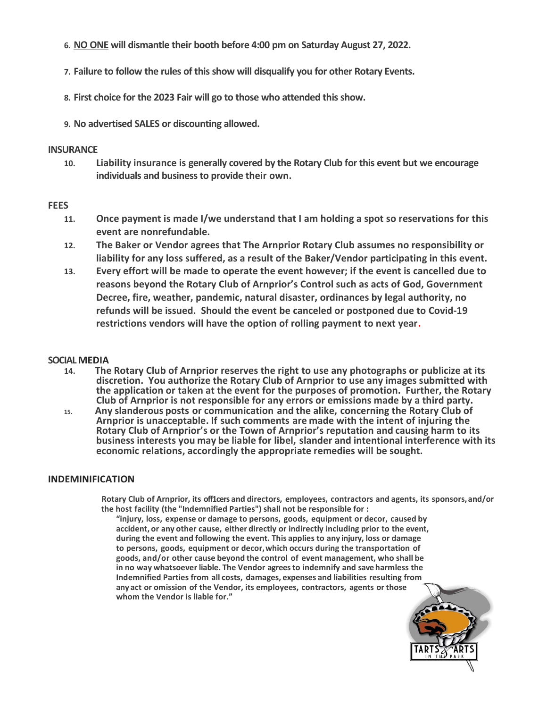- 6. NO ONE will dismantle their booth before 4:00 pm on Saturday August 27, 2022.
- 7. Failure to follow the rules of this show will disqualify you for other Rotary Events.
- 8. First choice for the 2023 Fair will go to those who attended this show.
- 9. No advertised SALES or discounting allowed.

#### **INSURANCE**

10. Liability insurance is generally covered by the Rotary Club for this event but we encourage individuals and business to provide their own.

#### **FEES**

- 11. Once payment is made I/we understand that I am holding a spot so reservations for this event are nonrefundable.
- 12. The Baker or Vendor agrees that The Arnprior Rotary Club assumes no responsibility or liability for any loss suffered, as a result of the Baker/Vendor participating in this event.
- 13. Every effort will be made to operate the event however; if the event is cancelled due to reasons beyond the Rotary Club of Arnprior's Control such as acts of God, Government Decree, fire, weather, pandemic, natural disaster, ordinances by legal authority, no refunds will be issued. Should the event be canceled or postponed due to Covid-19 restrictions vendors will have the option of rolling payment to next year.

#### SOCIAL MEDIA

- 14. The Rotary Club of Arnprior reserves the right to use any photographs or publicize at its discretion. You authorize the Rotary Club of Arnprior to use any images submitted with the application or taken at the event for the purposes of promotion. Further, the Rotary Club of Arnprior is not responsible for any errors or emissions made by a third party.
- 15. Any slanderous posts or communication and the alike, concerning the Rotary Club of Arnprior is unacceptable. If such comments are made with the intent of injuring the Rotary Club of Arnprior's or the Town of Arnprior's reputation and causing harm to its business interests you may be liable for libel, slander and intentional interference with its economic relations, accordingly the appropriate remedies will be sought.

#### INDEMINIFICATION

Rotary Club of Arnprior, its off1cers and directors, employees, contractors and agents, its sponsors, and/or the host facility (the "Indemnified Parties") shall not be responsible for :

"injury, loss, expense or damage to persons, goods, equipment or decor, caused by accident, or any other cause, either directly or indirectly including prior to the event, during the event and following the event. This applies to any injury, loss or damage to persons, goods, equipment or decor, which occurs during the transportation of goods, and/or other cause beyond the control of event management, who shall be in no way whatsoever liable. The Vendor agrees to indemnify and save harmless the Indemnified Parties from all costs, damages, expenses and liabilities resulting from any act or omission of the Vendor, its employees, contractors, agents or those whom the Vendor is liable for."